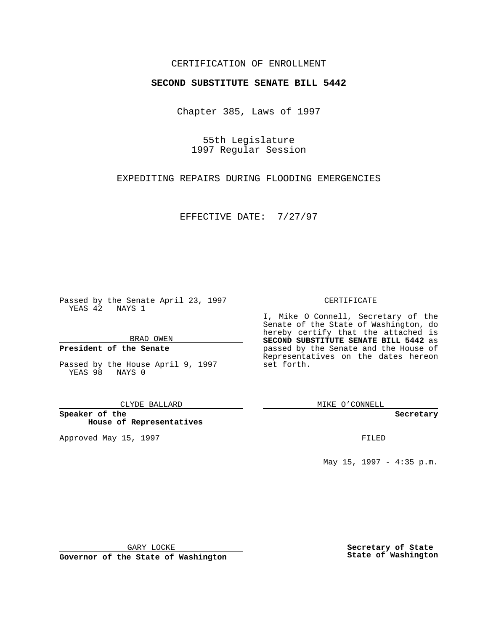### CERTIFICATION OF ENROLLMENT

# **SECOND SUBSTITUTE SENATE BILL 5442**

Chapter 385, Laws of 1997

55th Legislature 1997 Regular Session

EXPEDITING REPAIRS DURING FLOODING EMERGENCIES

EFFECTIVE DATE: 7/27/97

Passed by the Senate April 23, 1997 YEAS 42 NAYS 1

BRAD OWEN

### **President of the Senate**

Passed by the House April 9, 1997 YEAS 98 NAYS 0

CLYDE BALLARD

**Speaker of the House of Representatives**

Approved May 15, 1997 **FILED** 

#### CERTIFICATE

I, Mike O Connell, Secretary of the Senate of the State of Washington, do hereby certify that the attached is **SECOND SUBSTITUTE SENATE BILL 5442** as passed by the Senate and the House of Representatives on the dates hereon set forth.

MIKE O'CONNELL

#### **Secretary**

May 15, 1997 - 4:35 p.m.

GARY LOCKE

**Governor of the State of Washington**

**Secretary of State State of Washington**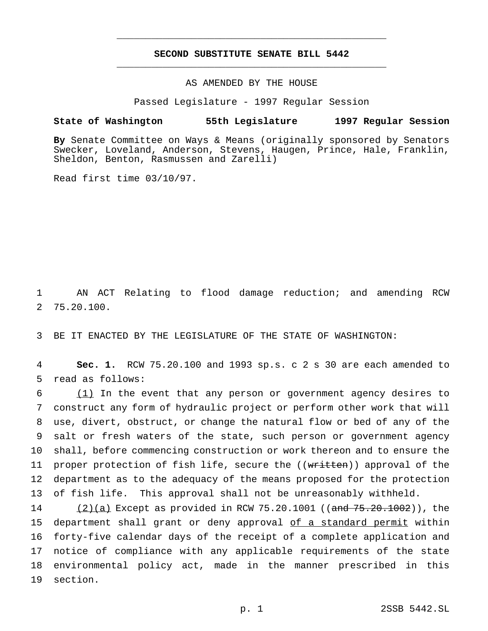## **SECOND SUBSTITUTE SENATE BILL 5442** \_\_\_\_\_\_\_\_\_\_\_\_\_\_\_\_\_\_\_\_\_\_\_\_\_\_\_\_\_\_\_\_\_\_\_\_\_\_\_\_\_\_\_\_\_\_\_

\_\_\_\_\_\_\_\_\_\_\_\_\_\_\_\_\_\_\_\_\_\_\_\_\_\_\_\_\_\_\_\_\_\_\_\_\_\_\_\_\_\_\_\_\_\_\_

AS AMENDED BY THE HOUSE

Passed Legislature - 1997 Regular Session

## **State of Washington 55th Legislature 1997 Regular Session**

**By** Senate Committee on Ways & Means (originally sponsored by Senators Swecker, Loveland, Anderson, Stevens, Haugen, Prince, Hale, Franklin, Sheldon, Benton, Rasmussen and Zarelli)

Read first time 03/10/97.

1 AN ACT Relating to flood damage reduction; and amending RCW 2 75.20.100.

3 BE IT ENACTED BY THE LEGISLATURE OF THE STATE OF WASHINGTON:

4 **Sec. 1.** RCW 75.20.100 and 1993 sp.s. c 2 s 30 are each amended to 5 read as follows:

 (1) In the event that any person or government agency desires to construct any form of hydraulic project or perform other work that will use, divert, obstruct, or change the natural flow or bed of any of the salt or fresh waters of the state, such person or government agency shall, before commencing construction or work thereon and to ensure the 11 proper protection of fish life, secure the ((written)) approval of the department as to the adequacy of the means proposed for the protection of fish life. This approval shall not be unreasonably withheld.

14 (2)(a) Except as provided in RCW 75.20.1001 ((and 75.20.1002)), the 15 department shall grant or deny approval of a standard permit within 16 forty-five calendar days of the receipt of a complete application and 17 notice of compliance with any applicable requirements of the state 18 environmental policy act, made in the manner prescribed in this 19 section.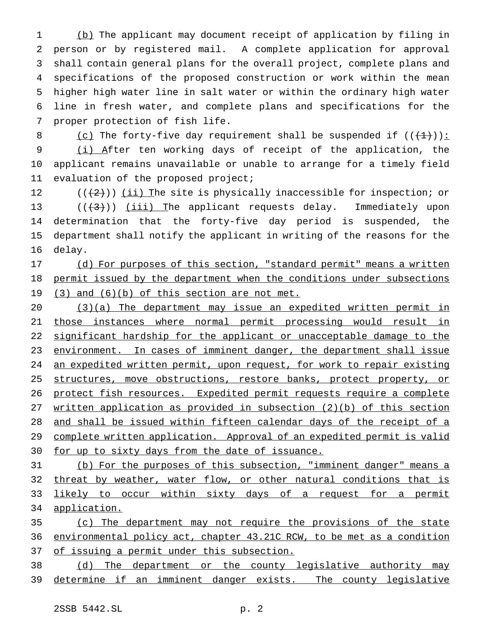(b) The applicant may document receipt of application by filing in person or by registered mail. A complete application for approval shall contain general plans for the overall project, complete plans and specifications of the proposed construction or work within the mean higher high water line in salt water or within the ordinary high water line in fresh water, and complete plans and specifications for the proper protection of fish life.

8 (c) The forty-five day requirement shall be suspended if  $((+1))$ : 9 (i) After ten working days of receipt of the application, the 10 applicant remains unavailable or unable to arrange for a timely field 11 evaluation of the proposed project;

 $((+2))$  ( $\underline{\text{iii}}$  The site is physically inaccessible for inspection; or  $((+3))$  (iii) The applicant requests delay. Immediately upon determination that the forty-five day period is suspended, the department shall notify the applicant in writing of the reasons for the 16 delay.

17 (d) For purposes of this section, "standard permit" means a written 18 permit issued by the department when the conditions under subsections 19 (3) and (6)(b) of this section are not met.

20 (3)(a) The department may issue an expedited written permit in 21 those instances where normal permit processing would result in 22 significant hardship for the applicant or unacceptable damage to the 23 environment. In cases of imminent danger, the department shall issue 24 an expedited written permit, upon request, for work to repair existing 25 structures, move obstructions, restore banks, protect property, or 26 protect fish resources. Expedited permit requests require a complete 27 written application as provided in subsection (2)(b) of this section 28 and shall be issued within fifteen calendar days of the receipt of a 29 complete written application. Approval of an expedited permit is valid 30 for up to sixty days from the date of issuance.

31 (b) For the purposes of this subsection, "imminent danger" means a 32 threat by weather, water flow, or other natural conditions that is 33 likely to occur within sixty days of a request for a permit 34 application.

35 (c) The department may not require the provisions of the state 36 environmental policy act, chapter 43.21C RCW, to be met as a condition 37 of issuing a permit under this subsection.

38 (d) The department or the county legislative authority may 39 determine if an imminent danger exists. The county legislative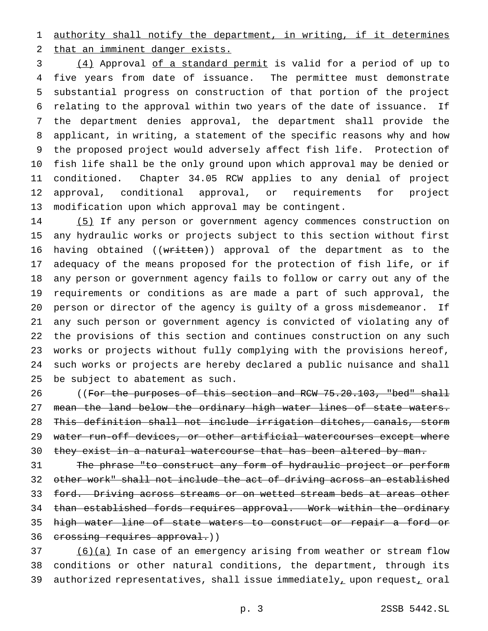authority shall notify the department, in writing, if it determines that an imminent danger exists.

 (4) Approval of a standard permit is valid for a period of up to five years from date of issuance. The permittee must demonstrate substantial progress on construction of that portion of the project relating to the approval within two years of the date of issuance. If the department denies approval, the department shall provide the applicant, in writing, a statement of the specific reasons why and how the proposed project would adversely affect fish life. Protection of fish life shall be the only ground upon which approval may be denied or conditioned. Chapter 34.05 RCW applies to any denial of project approval, conditional approval, or requirements for project modification upon which approval may be contingent.

 (5) If any person or government agency commences construction on any hydraulic works or projects subject to this section without first 16 having obtained ((written)) approval of the department as to the adequacy of the means proposed for the protection of fish life, or if any person or government agency fails to follow or carry out any of the requirements or conditions as are made a part of such approval, the person or director of the agency is guilty of a gross misdemeanor. If any such person or government agency is convicted of violating any of the provisions of this section and continues construction on any such works or projects without fully complying with the provisions hereof, such works or projects are hereby declared a public nuisance and shall be subject to abatement as such.

26 ((For the purposes of this section and RCW 75.20.103, "bed" shall 27 mean the land below the ordinary high water lines of state waters. This definition shall not include irrigation ditches, canals, storm 29 water run-off devices, or other artificial watercourses except where 30 they exist in a natural watercourse that has been altered by man.

 The phrase "to construct any form of hydraulic project or perform other work" shall not include the act of driving across an established 33 ford. Driving across streams or on wetted stream beds at areas other 34 than established fords requires approval. Work within the ordinary high water line of state waters to construct or repair a ford or 36 crossing requires approval.))

 (6)(a) In case of an emergency arising from weather or stream flow conditions or other natural conditions, the department, through its 39 authorized representatives, shall issue immediately, upon request, oral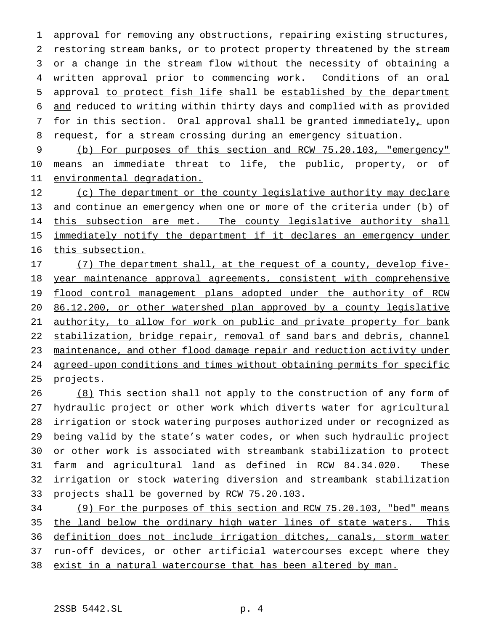approval for removing any obstructions, repairing existing structures, restoring stream banks, or to protect property threatened by the stream or a change in the stream flow without the necessity of obtaining a written approval prior to commencing work. Conditions of an oral approval to protect fish life shall be established by the department and reduced to writing within thirty days and complied with as provided 7 for in this section. Oral approval shall be granted immediately, upon request, for a stream crossing during an emergency situation.

9 (b) For purposes of this section and RCW 75.20.103, "emergency" 10 means an immediate threat to life, the public, property, or of 11 environmental degradation.

12 (c) The department or the county legislative authority may declare 13 and continue an emergency when one or more of the criteria under (b) of 14 this subsection are met. The county legislative authority shall 15 immediately notify the department if it declares an emergency under 16 this subsection.

17 (7) The department shall, at the request of a county, develop five-18 year maintenance approval agreements, consistent with comprehensive 19 flood control management plans adopted under the authority of RCW 20 86.12.200, or other watershed plan approved by a county legislative 21 authority, to allow for work on public and private property for bank 22 stabilization, bridge repair, removal of sand bars and debris, channel 23 maintenance, and other flood damage repair and reduction activity under 24 agreed-upon conditions and times without obtaining permits for specific 25 projects.

26 (8) This section shall not apply to the construction of any form of hydraulic project or other work which diverts water for agricultural irrigation or stock watering purposes authorized under or recognized as being valid by the state's water codes, or when such hydraulic project or other work is associated with streambank stabilization to protect farm and agricultural land as defined in RCW 84.34.020. These irrigation or stock watering diversion and streambank stabilization projects shall be governed by RCW 75.20.103.

 (9) For the purposes of this section and RCW 75.20.103, "bed" means the land below the ordinary high water lines of state waters. This definition does not include irrigation ditches, canals, storm water 37 run-off devices, or other artificial watercourses except where they exist in a natural watercourse that has been altered by man.